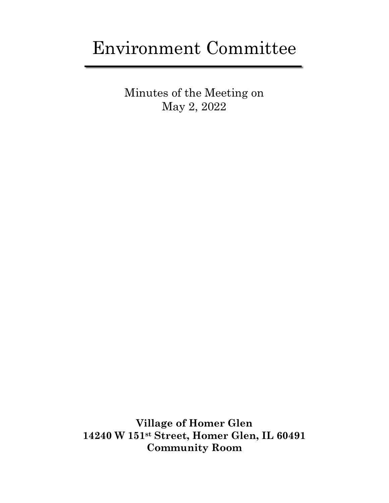# Environment Committee

Minutes of the Meeting on May 2, 2022

**Village of Homer Glen 14240 W 151st Street, Homer Glen, IL 60491 Community Room**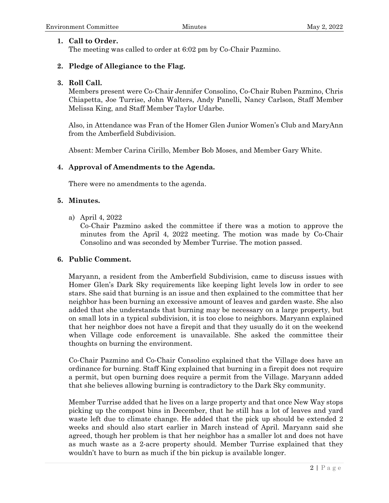# **1. Call to Order.**

The meeting was called to order at 6:02 pm by Co-Chair Pazmino.

# **2. Pledge of Allegiance to the Flag.**

# **3. Roll Call.**

Members present were Co-Chair Jennifer Consolino, Co-Chair Ruben Pazmino, Chris Chiapetta, Joe Turrise, John Walters, Andy Panelli, Nancy Carlson, Staff Member Melissa King, and Staff Member Taylor Udarbe.

Also, in Attendance was Fran of the Homer Glen Junior Women's Club and MaryAnn from the Amberfield Subdivision.

Absent: Member Carina Cirillo, Member Bob Moses, and Member Gary White.

# **4. Approval of Amendments to the Agenda.**

There were no amendments to the agenda.

# **5. Minutes.**

a) April 4, 2022

Co-Chair Pazmino asked the committee if there was a motion to approve the minutes from the April 4, 2022 meeting. The motion was made by Co-Chair Consolino and was seconded by Member Turrise. The motion passed.

# **6. Public Comment.**

Maryann, a resident from the Amberfield Subdivision, came to discuss issues with Homer Glen's Dark Sky requirements like keeping light levels low in order to see stars. She said that burning is an issue and then explained to the committee that her neighbor has been burning an excessive amount of leaves and garden waste. She also added that she understands that burning may be necessary on a large property, but on small lots in a typical subdivision, it is too close to neighbors. Maryann explained that her neighbor does not have a firepit and that they usually do it on the weekend when Village code enforcement is unavailable. She asked the committee their thoughts on burning the environment.

Co-Chair Pazmino and Co-Chair Consolino explained that the Village does have an ordinance for burning. Staff King explained that burning in a firepit does not require a permit, but open burning does require a permit from the Village. Maryann added that she believes allowing burning is contradictory to the Dark Sky community.

Member Turrise added that he lives on a large property and that once New Way stops picking up the compost bins in December, that he still has a lot of leaves and yard waste left due to climate change. He added that the pick up should be extended 2 weeks and should also start earlier in March instead of April. Maryann said she agreed, though her problem is that her neighbor has a smaller lot and does not have as much waste as a 2-acre property should. Member Turrise explained that they wouldn't have to burn as much if the bin pickup is available longer.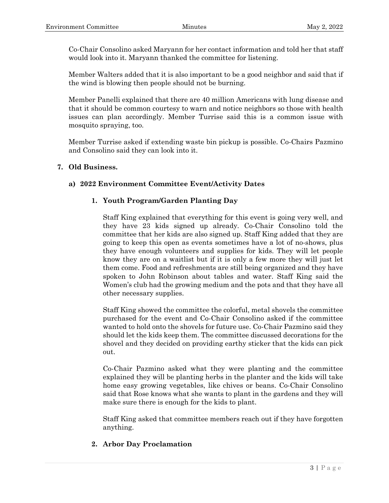Co-Chair Consolino asked Maryann for her contact information and told her that staff would look into it. Maryann thanked the committee for listening.

Member Walters added that it is also important to be a good neighbor and said that if the wind is blowing then people should not be burning.

Member Panelli explained that there are 40 million Americans with lung disease and that it should be common courtesy to warn and notice neighbors so those with health issues can plan accordingly. Member Turrise said this is a common issue with mosquito spraying, too.

Member Turrise asked if extending waste bin pickup is possible. Co-Chairs Pazmino and Consolino said they can look into it.

#### **7. Old Business.**

#### **a) 2022 Environment Committee Event/Activity Dates**

#### **1. Youth Program/Garden Planting Day**

Staff King explained that everything for this event is going very well, and they have 23 kids signed up already. Co-Chair Consolino told the committee that her kids are also signed up. Staff King added that they are going to keep this open as events sometimes have a lot of no-shows, plus they have enough volunteers and supplies for kids. They will let people know they are on a waitlist but if it is only a few more they will just let them come. Food and refreshments are still being organized and they have spoken to John Robinson about tables and water. Staff King said the Women's club had the growing medium and the pots and that they have all other necessary supplies.

Staff King showed the committee the colorful, metal shovels the committee purchased for the event and Co-Chair Consolino asked if the committee wanted to hold onto the shovels for future use. Co-Chair Pazmino said they should let the kids keep them. The committee discussed decorations for the shovel and they decided on providing earthy sticker that the kids can pick out.

Co-Chair Pazmino asked what they were planting and the committee explained they will be planting herbs in the planter and the kids will take home easy growing vegetables, like chives or beans. Co-Chair Consolino said that Rose knows what she wants to plant in the gardens and they will make sure there is enough for the kids to plant.

Staff King asked that committee members reach out if they have forgotten anything.

# **2. Arbor Day Proclamation**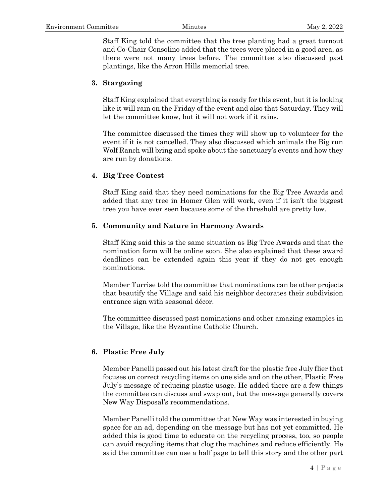Staff King told the committee that the tree planting had a great turnout and Co-Chair Consolino added that the trees were placed in a good area, as there were not many trees before. The committee also discussed past plantings, like the Arron Hills memorial tree.

### **3. Stargazing**

Staff King explained that everything is ready for this event, but it is looking like it will rain on the Friday of the event and also that Saturday. They will let the committee know, but it will not work if it rains.

The committee discussed the times they will show up to volunteer for the event if it is not cancelled. They also discussed which animals the Big run Wolf Ranch will bring and spoke about the sanctuary's events and how they are run by donations.

#### **4. Big Tree Contest**

Staff King said that they need nominations for the Big Tree Awards and added that any tree in Homer Glen will work, even if it isn't the biggest tree you have ever seen because some of the threshold are pretty low.

#### **5. Community and Nature in Harmony Awards**

Staff King said this is the same situation as Big Tree Awards and that the nomination form will be online soon. She also explained that these award deadlines can be extended again this year if they do not get enough nominations.

Member Turrise told the committee that nominations can be other projects that beautify the Village and said his neighbor decorates their subdivision entrance sign with seasonal décor.

The committee discussed past nominations and other amazing examples in the Village, like the Byzantine Catholic Church.

#### **6. Plastic Free July**

Member Panelli passed out his latest draft for the plastic free July flier that focuses on correct recycling items on one side and on the other, Plastic Free July's message of reducing plastic usage. He added there are a few things the committee can discuss and swap out, but the message generally covers New Way Disposal's recommendations.

Member Panelli told the committee that New Way was interested in buying space for an ad, depending on the message but has not yet committed. He added this is good time to educate on the recycling process, too, so people can avoid recycling items that clog the machines and reduce efficiently. He said the committee can use a half page to tell this story and the other part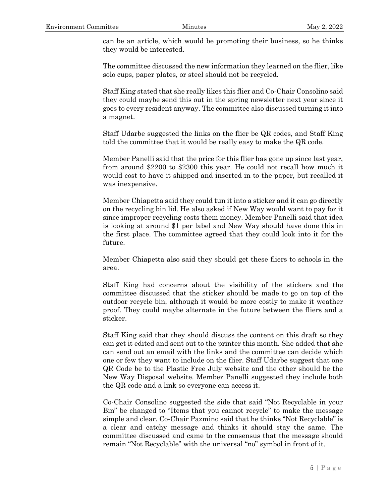can be an article, which would be promoting their business, so he thinks they would be interested.

The committee discussed the new information they learned on the flier, like solo cups, paper plates, or steel should not be recycled.

Staff King stated that she really likes this flier and Co-Chair Consolino said they could maybe send this out in the spring newsletter next year since it goes to every resident anyway. The committee also discussed turning it into a magnet.

Staff Udarbe suggested the links on the flier be QR codes, and Staff King told the committee that it would be really easy to make the QR code.

Member Panelli said that the price for this flier has gone up since last year, from around \$2200 to \$2300 this year. He could not recall how much it would cost to have it shipped and inserted in to the paper, but recalled it was inexpensive.

Member Chiapetta said they could tun it into a sticker and it can go directly on the recycling bin lid. He also asked if New Way would want to pay for it since improper recycling costs them money. Member Panelli said that idea is looking at around \$1 per label and New Way should have done this in the first place. The committee agreed that they could look into it for the future.

Member Chiapetta also said they should get these fliers to schools in the area.

Staff King had concerns about the visibility of the stickers and the committee discussed that the sticker should be made to go on top of the outdoor recycle bin, although it would be more costly to make it weather proof. They could maybe alternate in the future between the fliers and a sticker.

Staff King said that they should discuss the content on this draft so they can get it edited and sent out to the printer this month. She added that she can send out an email with the links and the committee can decide which one or few they want to include on the flier. Staff Udarbe suggest that one QR Code be to the Plastic Free July website and the other should be the New Way Disposal website. Member Panelli suggested they include both the QR code and a link so everyone can access it.

Co-Chair Consolino suggested the side that said "Not Recyclable in your Bin" be changed to "Items that you cannot recycle" to make the message simple and clear. Co-Chair Pazmino said that he thinks "Not Recyclable" is a clear and catchy message and thinks it should stay the same. The committee discussed and came to the consensus that the message should remain "Not Recyclable" with the universal "no" symbol in front of it.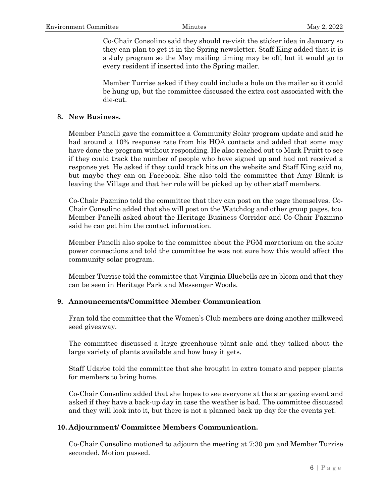Co-Chair Consolino said they should re-visit the sticker idea in January so they can plan to get it in the Spring newsletter. Staff King added that it is a July program so the May mailing timing may be off, but it would go to every resident if inserted into the Spring mailer.

Member Turrise asked if they could include a hole on the mailer so it could be hung up, but the committee discussed the extra cost associated with the die-cut.

#### **8. New Business.**

Member Panelli gave the committee a Community Solar program update and said he had around a 10% response rate from his HOA contacts and added that some may have done the program without responding. He also reached out to Mark Pruitt to see if they could track the number of people who have signed up and had not received a response yet. He asked if they could track hits on the website and Staff King said no, but maybe they can on Facebook. She also told the committee that Amy Blank is leaving the Village and that her role will be picked up by other staff members.

Co-Chair Pazmino told the committee that they can post on the page themselves. Co-Chair Consolino added that she will post on the Watchdog and other group pages, too. Member Panelli asked about the Heritage Business Corridor and Co-Chair Pazmino said he can get him the contact information.

Member Panelli also spoke to the committee about the PGM moratorium on the solar power connections and told the committee he was not sure how this would affect the community solar program.

Member Turrise told the committee that Virginia Bluebells are in bloom and that they can be seen in Heritage Park and Messenger Woods.

#### **9. Announcements/Committee Member Communication**

Fran told the committee that the Women's Club members are doing another milkweed seed giveaway.

The committee discussed a large greenhouse plant sale and they talked about the large variety of plants available and how busy it gets.

Staff Udarbe told the committee that she brought in extra tomato and pepper plants for members to bring home.

Co-Chair Consolino added that she hopes to see everyone at the star gazing event and asked if they have a back-up day in case the weather is bad. The committee discussed and they will look into it, but there is not a planned back up day for the events yet.

#### **10. Adjournment/ Committee Members Communication.**

Co-Chair Consolino motioned to adjourn the meeting at 7:30 pm and Member Turrise seconded. Motion passed.